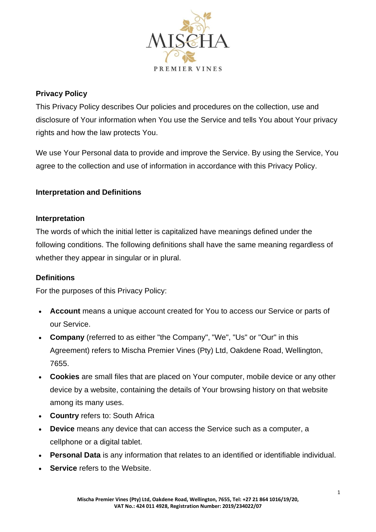

## **Privacy Policy**

This Privacy Policy describes Our policies and procedures on the collection, use and disclosure of Your information when You use the Service and tells You about Your privacy rights and how the law protects You.

We use Your Personal data to provide and improve the Service. By using the Service, You agree to the collection and use of information in accordance with this Privacy Policy.

## **Interpretation and Definitions**

#### **Interpretation**

The words of which the initial letter is capitalized have meanings defined under the following conditions. The following definitions shall have the same meaning regardless of whether they appear in singular or in plural.

#### **Definitions**

For the purposes of this Privacy Policy:

- **Account** means a unique account created for You to access our Service or parts of our Service.
- **Company** (referred to as either "the Company", "We", "Us" or "Our" in this Agreement) refers to Mischa Premier Vines (Pty) Ltd, Oakdene Road, Wellington, 7655.
- **Cookies** are small files that are placed on Your computer, mobile device or any other device by a website, containing the details of Your browsing history on that website among its many uses.
- **Country** refers to: South Africa
- **Device** means any device that can access the Service such as a computer, a cellphone or a digital tablet.
- **Personal Data** is any information that relates to an identified or identifiable individual.
- **Service** refers to the Website.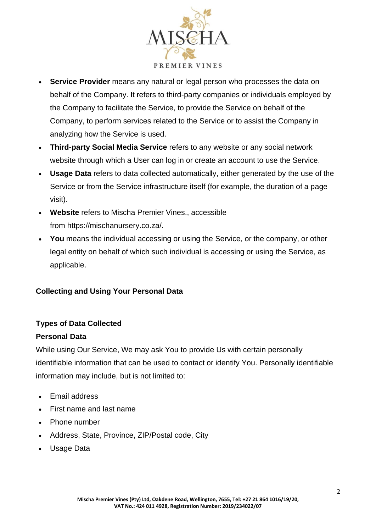

- **Service Provider** means any natural or legal person who processes the data on behalf of the Company. It refers to third-party companies or individuals employed by the Company to facilitate the Service, to provide the Service on behalf of the Company, to perform services related to the Service or to assist the Company in analyzing how the Service is used.
- **Third-party Social Media Service** refers to any website or any social network website through which a User can log in or create an account to use the Service.
- **Usage Data** refers to data collected automatically, either generated by the use of the Service or from the Service infrastructure itself (for example, the duration of a page visit).
- **Website** refers to Mischa Premier Vines., accessible from https://mischanursery.co.za/.
- **You** means the individual accessing or using the Service, or the company, or other legal entity on behalf of which such individual is accessing or using the Service, as applicable.

# **Collecting and Using Your Personal Data**

# **Types of Data Collected**

# **Personal Data**

While using Our Service, We may ask You to provide Us with certain personally identifiable information that can be used to contact or identify You. Personally identifiable information may include, but is not limited to:

- Email address
- First name and last name
- Phone number
- Address, State, Province, ZIP/Postal code, City
- Usage Data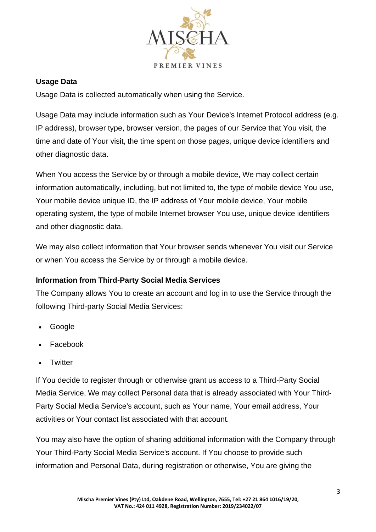

## **Usage Data**

Usage Data is collected automatically when using the Service.

Usage Data may include information such as Your Device's Internet Protocol address (e.g. IP address), browser type, browser version, the pages of our Service that You visit, the time and date of Your visit, the time spent on those pages, unique device identifiers and other diagnostic data.

When You access the Service by or through a mobile device, We may collect certain information automatically, including, but not limited to, the type of mobile device You use, Your mobile device unique ID, the IP address of Your mobile device, Your mobile operating system, the type of mobile Internet browser You use, unique device identifiers and other diagnostic data.

We may also collect information that Your browser sends whenever You visit our Service or when You access the Service by or through a mobile device.

## **Information from Third-Party Social Media Services**

The Company allows You to create an account and log in to use the Service through the following Third-party Social Media Services:

- **Google**
- Facebook
- **Twitter**

If You decide to register through or otherwise grant us access to a Third-Party Social Media Service, We may collect Personal data that is already associated with Your Third-Party Social Media Service's account, such as Your name, Your email address, Your activities or Your contact list associated with that account.

You may also have the option of sharing additional information with the Company through Your Third-Party Social Media Service's account. If You choose to provide such information and Personal Data, during registration or otherwise, You are giving the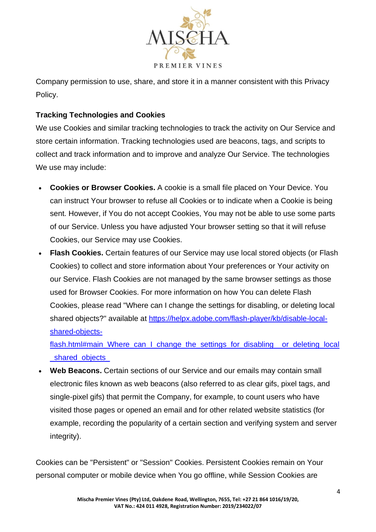

Company permission to use, share, and store it in a manner consistent with this Privacy Policy.

# **Tracking Technologies and Cookies**

We use Cookies and similar tracking technologies to track the activity on Our Service and store certain information. Tracking technologies used are beacons, tags, and scripts to collect and track information and to improve and analyze Our Service. The technologies We use may include:

- **Cookies or Browser Cookies.** A cookie is a small file placed on Your Device. You can instruct Your browser to refuse all Cookies or to indicate when a Cookie is being sent. However, if You do not accept Cookies, You may not be able to use some parts of our Service. Unless you have adjusted Your browser setting so that it will refuse Cookies, our Service may use Cookies.
- **Flash Cookies.** Certain features of our Service may use local stored objects (or Flash Cookies) to collect and store information about Your preferences or Your activity on our Service. Flash Cookies are not managed by the same browser settings as those used for Browser Cookies. For more information on how You can delete Flash Cookies, please read "Where can I change the settings for disabling, or deleting local shared objects?" available at [https://helpx.adobe.com/flash-player/kb/disable-local](https://helpx.adobe.com/flash-player/kb/disable-local-shared-objects-flash.html#main_Where_can_I_change_the_settings_for_disabling__or_deleting_local_shared_objects_)[shared-objects-](https://helpx.adobe.com/flash-player/kb/disable-local-shared-objects-flash.html#main_Where_can_I_change_the_settings_for_disabling__or_deleting_local_shared_objects_)

[flash.html#main\\_Where\\_can\\_I\\_change\\_the\\_settings\\_for\\_disabling\\_\\_or\\_deleting\\_local](https://helpx.adobe.com/flash-player/kb/disable-local-shared-objects-flash.html#main_Where_can_I_change_the_settings_for_disabling__or_deleting_local_shared_objects_) \_shared\_objects

• **Web Beacons.** Certain sections of our Service and our emails may contain small electronic files known as web beacons (also referred to as clear gifs, pixel tags, and single-pixel gifs) that permit the Company, for example, to count users who have visited those pages or opened an email and for other related website statistics (for example, recording the popularity of a certain section and verifying system and server integrity).

Cookies can be "Persistent" or "Session" Cookies. Persistent Cookies remain on Your personal computer or mobile device when You go offline, while Session Cookies are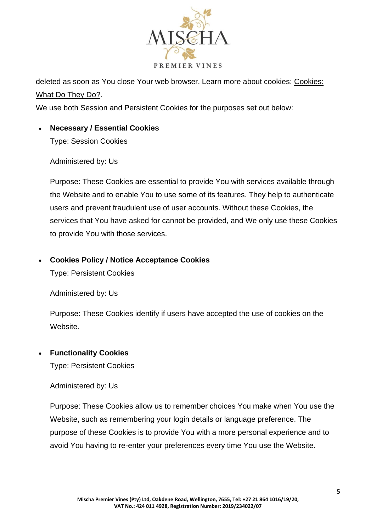

deleted as soon as You close Your web browser. Learn more about cookies: [Cookies:](https://www.freeprivacypolicy.com/blog/cookies/) [What](https://www.freeprivacypolicy.com/blog/cookies/) Do They Do?.

We use both Session and Persistent Cookies for the purposes set out below:

• **Necessary / Essential Cookies**

Type: Session Cookies

Administered by: Us

Purpose: These Cookies are essential to provide You with services available through the Website and to enable You to use some of its features. They help to authenticate users and prevent fraudulent use of user accounts. Without these Cookies, the services that You have asked for cannot be provided, and We only use these Cookies to provide You with those services.

#### • **Cookies Policy / Notice Acceptance Cookies**

Type: Persistent Cookies

Administered by: Us

Purpose: These Cookies identify if users have accepted the use of cookies on the Website.

#### • **Functionality Cookies**

Type: Persistent Cookies

#### Administered by: Us

Purpose: These Cookies allow us to remember choices You make when You use the Website, such as remembering your login details or language preference. The purpose of these Cookies is to provide You with a more personal experience and to avoid You having to re-enter your preferences every time You use the Website.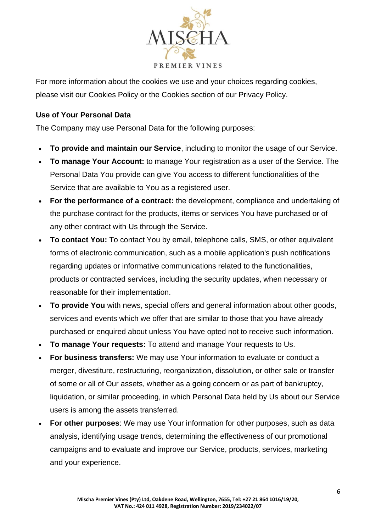

For more information about the cookies we use and your choices regarding cookies, please visit our Cookies Policy or the Cookies section of our Privacy Policy.

## **Use of Your Personal Data**

The Company may use Personal Data for the following purposes:

- **To provide and maintain our Service**, including to monitor the usage of our Service.
- **To manage Your Account:** to manage Your registration as a user of the Service. The Personal Data You provide can give You access to different functionalities of the Service that are available to You as a registered user.
- **For the performance of a contract:** the development, compliance and undertaking of the purchase contract for the products, items or services You have purchased or of any other contract with Us through the Service.
- **To contact You:** To contact You by email, telephone calls, SMS, or other equivalent forms of electronic communication, such as a mobile application's push notifications regarding updates or informative communications related to the functionalities, products or contracted services, including the security updates, when necessary or reasonable for their implementation.
- **To provide You** with news, special offers and general information about other goods, services and events which we offer that are similar to those that you have already purchased or enquired about unless You have opted not to receive such information.
- **To manage Your requests:** To attend and manage Your requests to Us.
- **For business transfers:** We may use Your information to evaluate or conduct a merger, divestiture, restructuring, reorganization, dissolution, or other sale or transfer of some or all of Our assets, whether as a going concern or as part of bankruptcy, liquidation, or similar proceeding, in which Personal Data held by Us about our Service users is among the assets transferred.
- **For other purposes**: We may use Your information for other purposes, such as data analysis, identifying usage trends, determining the effectiveness of our promotional campaigns and to evaluate and improve our Service, products, services, marketing and your experience.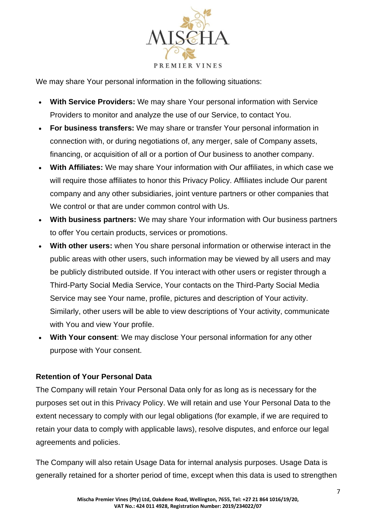

We may share Your personal information in the following situations:

- **With Service Providers:** We may share Your personal information with Service Providers to monitor and analyze the use of our Service, to contact You.
- **For business transfers:** We may share or transfer Your personal information in connection with, or during negotiations of, any merger, sale of Company assets, financing, or acquisition of all or a portion of Our business to another company.
- **With Affiliates:** We may share Your information with Our affiliates, in which case we will require those affiliates to honor this Privacy Policy. Affiliates include Our parent company and any other subsidiaries, joint venture partners or other companies that We control or that are under common control with Us.
- **With business partners:** We may share Your information with Our business partners to offer You certain products, services or promotions.
- **With other users:** when You share personal information or otherwise interact in the public areas with other users, such information may be viewed by all users and may be publicly distributed outside. If You interact with other users or register through a Third-Party Social Media Service, Your contacts on the Third-Party Social Media Service may see Your name, profile, pictures and description of Your activity. Similarly, other users will be able to view descriptions of Your activity, communicate with You and view Your profile.
- **With Your consent**: We may disclose Your personal information for any other purpose with Your consent.

## **Retention of Your Personal Data**

The Company will retain Your Personal Data only for as long as is necessary for the purposes set out in this Privacy Policy. We will retain and use Your Personal Data to the extent necessary to comply with our legal obligations (for example, if we are required to retain your data to comply with applicable laws), resolve disputes, and enforce our legal agreements and policies.

The Company will also retain Usage Data for internal analysis purposes. Usage Data is generally retained for a shorter period of time, except when this data is used to strengthen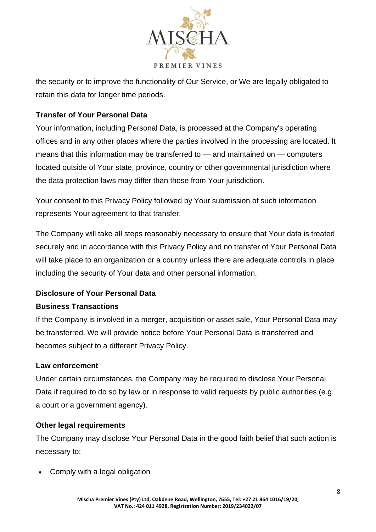

the security or to improve the functionality of Our Service, or We are legally obligated to retain this data for longer time periods.

## **Transfer of Your Personal Data**

Your information, including Personal Data, is processed at the Company's operating offices and in any other places where the parties involved in the processing are located. It means that this information may be transferred to — and maintained on — computers located outside of Your state, province, country or other governmental jurisdiction where the data protection laws may differ than those from Your jurisdiction.

Your consent to this Privacy Policy followed by Your submission of such information represents Your agreement to that transfer.

The Company will take all steps reasonably necessary to ensure that Your data is treated securely and in accordance with this Privacy Policy and no transfer of Your Personal Data will take place to an organization or a country unless there are adequate controls in place including the security of Your data and other personal information.

# **Disclosure of Your Personal Data**

## **Business Transactions**

If the Company is involved in a merger, acquisition or asset sale, Your Personal Data may be transferred. We will provide notice before Your Personal Data is transferred and becomes subject to a different Privacy Policy.

## **Law enforcement**

Under certain circumstances, the Company may be required to disclose Your Personal Data if required to do so by law or in response to valid requests by public authorities (e.g. a court or a government agency).

## **Other legal requirements**

The Company may disclose Your Personal Data in the good faith belief that such action is necessary to:

• Comply with a legal obligation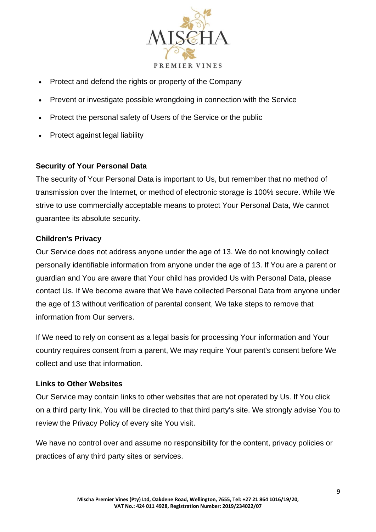

- Protect and defend the rights or property of the Company
- Prevent or investigate possible wrongdoing in connection with the Service
- Protect the personal safety of Users of the Service or the public
- Protect against legal liability

#### **Security of Your Personal Data**

The security of Your Personal Data is important to Us, but remember that no method of transmission over the Internet, or method of electronic storage is 100% secure. While We strive to use commercially acceptable means to protect Your Personal Data, We cannot guarantee its absolute security.

#### **Children's Privacy**

Our Service does not address anyone under the age of 13. We do not knowingly collect personally identifiable information from anyone under the age of 13. If You are a parent or guardian and You are aware that Your child has provided Us with Personal Data, please contact Us. If We become aware that We have collected Personal Data from anyone under the age of 13 without verification of parental consent, We take steps to remove that information from Our servers.

If We need to rely on consent as a legal basis for processing Your information and Your country requires consent from a parent, We may require Your parent's consent before We collect and use that information.

## **Links to Other Websites**

Our Service may contain links to other websites that are not operated by Us. If You click on a third party link, You will be directed to that third party's site. We strongly advise You to review the Privacy Policy of every site You visit.

We have no control over and assume no responsibility for the content, privacy policies or practices of any third party sites or services.